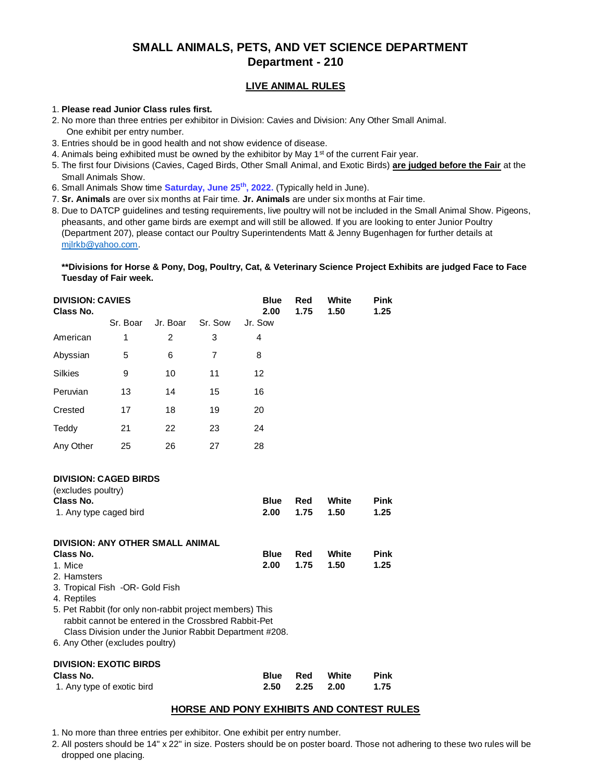# **SMALL ANIMALS, PETS, AND VET SCIENCE DEPARTMENT Department - 210**

## **LIVE ANIMAL RULES**

#### 1. **Please read Junior Class rules first.**

- 2. No more than three entries per exhibitor in Division: Cavies and Division: Any Other Small Animal. One exhibit per entry number.
- 3. Entries should be in good health and not show evidence of disease.
- 4. Animals being exhibited must be owned by the exhibitor by May 1<sup>st</sup> of the current Fair year.
- 5. The first four Divisions (Cavies, Caged Birds, Other Small Animal, and Exotic Birds) **are judged before the Fair** at the Small Animals Show.
- 6. Small Animals Show time **Saturday, June 25th, 2022.** (Typically held in June).
- 7. **Sr. Animals** are over six months at Fair time. **Jr. Animals** are under six months at Fair time.
- 8. Due to DATCP guidelines and testing requirements, live poultry will not be included in the Small Animal Show. Pigeons, pheasants, and other game birds are exempt and will still be allowed. If you are looking to enter Junior Poultry (Department 207), please contact our Poultry Superintendents Matt & Jenny Bugenhagen for further details at [mjlrkb@yahoo.com.](mailto:mjlrkb@yahoo.com)

**\*\*Divisions for Horse & Pony, Dog, Poultry, Cat, & Veterinary Science Project Exhibits are judged Face to Face Tuesday of Fair week.** 

| <b>DIVISION: CAVIES</b><br>Class No. |          |                |         | <b>Blue</b><br>2.00 | Red<br>1.75 | White<br>1.50 | <b>Pink</b><br>1.25 |
|--------------------------------------|----------|----------------|---------|---------------------|-------------|---------------|---------------------|
|                                      | Sr. Boar | Jr. Boar       | Sr. Sow | Jr. Sow             |             |               |                     |
| American                             | 1        | $\overline{2}$ | 3       | 4                   |             |               |                     |
| Abyssian                             | 5        | 6              | 7       | 8                   |             |               |                     |
| <b>Silkies</b>                       | 9        | 10             | 11      | 12                  |             |               |                     |
| Peruvian                             | 13       | 14             | 15      | 16                  |             |               |                     |
| Crested                              | 17       | 18             | 19      | 20                  |             |               |                     |
| Teddy                                | 21       | 22             | 23      | 24                  |             |               |                     |
| Any Other                            | 25       | 26             | 27      | 28                  |             |               |                     |
|                                      |          |                |         |                     |             |               |                     |

## **DIVISION: CAGED BIRDS**

| (excludes poultry)                                                                                               |             |      |       |             |
|------------------------------------------------------------------------------------------------------------------|-------------|------|-------|-------------|
| Class No.                                                                                                        | <b>Blue</b> | Red  | White | <b>Pink</b> |
| 1. Any type caged bird                                                                                           | 2.00        | 1.75 | 1.50  | 1.25        |
| DIVISION: ANY OTHER SMALL ANIMAL                                                                                 |             |      |       |             |
| Class No.                                                                                                        | <b>Blue</b> | Red  | White | <b>Pink</b> |
| 1. Mice                                                                                                          | 2.00        | 1.75 | 1.50  | 1.25        |
| 2. Hamsters                                                                                                      |             |      |       |             |
| 3. Tropical Fish -OR- Gold Fish                                                                                  |             |      |       |             |
| 4. Reptiles                                                                                                      |             |      |       |             |
| 5. Pet Rabbit (for only non-rabbit project members) This<br>rabbit cannot be entered in the Crossbred Rabbit-Pet |             |      |       |             |

Class Division under the Junior Rabbit Department #208.

6. Any Other (excludes poultry)

## **DIVISION: EXOTIC BIRDS**

| Class No.                  | Blue Red |                      | White | Pink |
|----------------------------|----------|----------------------|-------|------|
| 1. Any type of exotic bird |          | $2.50$ $2.25$ $2.00$ |       | 1.75 |

## **HORSE AND PONY EXHIBITS AND CONTEST RULES**

- 1. No more than three entries per exhibitor. One exhibit per entry number.
- 2. All posters should be 14" x 22" in size. Posters should be on poster board. Those not adhering to these two rules will be dropped one placing.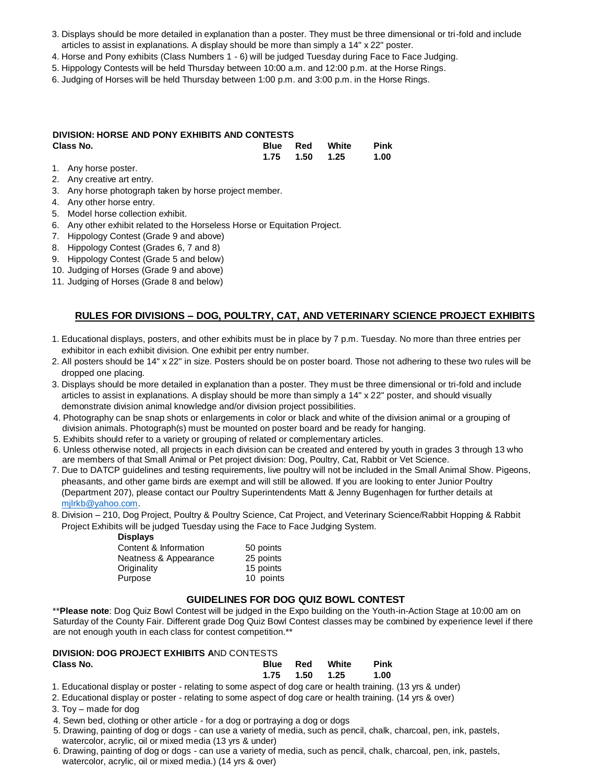- 3. Displays should be more detailed in explanation than a poster. They must be three dimensional or tri-fold and include articles to assist in explanations. A display should be more than simply a 14" x 22" poster.
- 4. Horse and Pony exhibits (Class Numbers 1 6) will be judged Tuesday during Face to Face Judging.
- 5. Hippology Contests will be held Thursday between 10:00 a.m. and 12:00 p.m. at the Horse Rings.
- 6. Judging of Horses will be held Thursday between 1:00 p.m. and 3:00 p.m. in the Horse Rings.

### **DIVISION: HORSE AND PONY EXHIBITS AND CONTESTS Class No. Blue Red White Pink 1.75 1.50 1.25 1.00**

- 1. Any horse poster.
- 2. Any creative art entry.
- 3. Any horse photograph taken by horse project member.
- 4. Any other horse entry.
- 5. Model horse collection exhibit.
- 6. Any other exhibit related to the Horseless Horse or Equitation Project.
- 7. Hippology Contest (Grade 9 and above)
- 8. Hippology Contest (Grades 6, 7 and 8)
- 9. Hippology Contest (Grade 5 and below)
- 10. Judging of Horses (Grade 9 and above)
- 11. Judging of Horses (Grade 8 and below)

# **RULES FOR DIVISIONS – DOG, POULTRY, CAT, AND VETERINARY SCIENCE PROJECT EXHIBITS**

- 1. Educational displays, posters, and other exhibits must be in place by 7 p.m. Tuesday. No more than three entries per exhibitor in each exhibit division. One exhibit per entry number.
- 2. All posters should be 14" x 22" in size. Posters should be on poster board. Those not adhering to these two rules will be dropped one placing.
- 3. Displays should be more detailed in explanation than a poster. They must be three dimensional or tri-fold and include articles to assist in explanations. A display should be more than simply a 14" x 22" poster, and should visually demonstrate division animal knowledge and/or division project possibilities.
- 4. Photography can be snap shots or enlargements in color or black and white of the division animal or a grouping of division animals. Photograph(s) must be mounted on poster board and be ready for hanging.
- 5. Exhibits should refer to a variety or grouping of related or complementary articles.
- 6. Unless otherwise noted, all projects in each division can be created and entered by youth in grades 3 through 13 who are members of that Small Animal or Pet project division: Dog, Poultry, Cat, Rabbit or Vet Science.
- 7. Due to DATCP guidelines and testing requirements, live poultry will not be included in the Small Animal Show. Pigeons, pheasants, and other game birds are exempt and will still be allowed. If you are looking to enter Junior Poultry (Department 207), please contact our Poultry Superintendents Matt & Jenny Bugenhagen for further details at [mjlrkb@yahoo.com.](mailto:mjlrkb@yahoo.com)
- 8. Division 210, Dog Project, Poultry & Poultry Science, Cat Project, and Veterinary Science/Rabbit Hopping & Rabbit Project Exhibits will be judged Tuesday using the Face to Face Judging System.

#### **Displays**

| 50 points |
|-----------|
| 25 points |
| 15 points |
| 10 points |
|           |

## **GUIDELINES FOR DOG QUIZ BOWL CONTEST**

\*\***Please note**: Dog Quiz Bowl Contest will be judged in the Expo building on the Youth-in-Action Stage at 10:00 am on Saturday of the County Fair. Different grade Dog Quiz Bowl Contest classes may be combined by experience level if there are not enough youth in each class for contest competition.\*\*

# **DIVISION: DOG PROJECT EXHIBITS A**ND CONTESTS

| Class No. |  | <b>Blue Red White Pink</b> |  |
|-----------|--|----------------------------|--|
|           |  |                            |  |
|           |  |                            |  |

1. Educational display or poster - relating to some aspect of dog care or health training. (13 yrs & under)

- 2. Educational display or poster relating to some aspect of dog care or health training. (14 yrs & over)
- 3. Toy made for dog
- 4. Sewn bed, clothing or other article for a dog or portraying a dog or dogs
- 5. Drawing, painting of dog or dogs can use a variety of media, such as pencil, chalk, charcoal, pen, ink, pastels, watercolor, acrylic, oil or mixed media (13 yrs & under)
- 6. Drawing, painting of dog or dogs can use a variety of media, such as pencil, chalk, charcoal, pen, ink, pastels, watercolor, acrylic, oil or mixed media.) (14 yrs & over)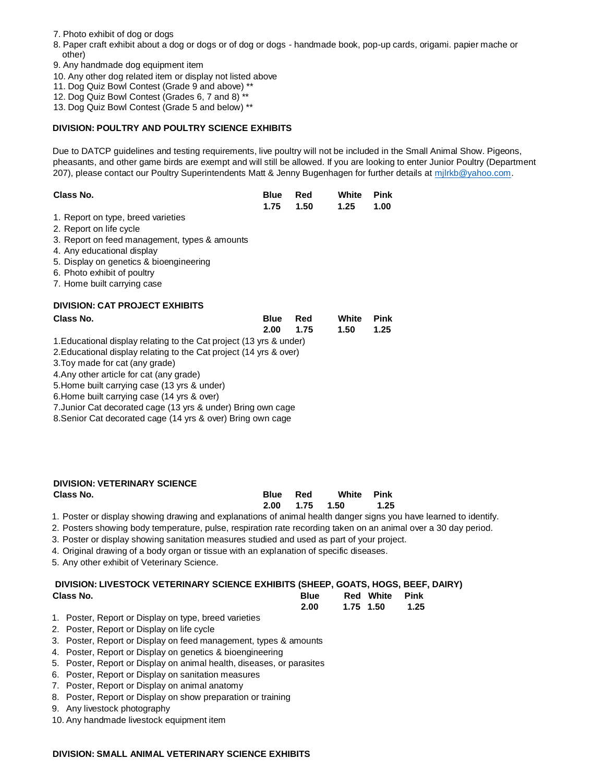- 7. Photo exhibit of dog or dogs
- 8. Paper craft exhibit about a dog or dogs or of dog or dogs handmade book, pop-up cards, origami. papier mache or other)
- 9. Any handmade dog equipment item
- 10. Any other dog related item or display not listed above
- 11. Dog Quiz Bowl Contest (Grade 9 and above) \*\*
- 12. Dog Quiz Bowl Contest (Grades 6, 7 and 8) \*\*
- 13. Dog Quiz Bowl Contest (Grade 5 and below) \*\*

#### **DIVISION: POULTRY AND POULTRY SCIENCE EXHIBITS**

Due to DATCP guidelines and testing requirements, live poultry will not be included in the Small Animal Show. Pigeons, pheasants, and other game birds are exempt and will still be allowed. If you are looking to enter Junior Poultry (Department 207), please contact our Poultry Superintendents Matt & Jenny Bugenhagen for further details at milrkb@yahoo.com.

| Class No. | <b>Blue Red</b> White Pink |  |
|-----------|----------------------------|--|
|           | 1.75  1.50  1.25  1.00     |  |

- 1. Report on type, breed varieties
- 2. Report on life cycle
- 3. Report on feed management, types & amounts
- 4. Any educational display
- 5. Display on genetics & bioengineering
- 6. Photo exhibit of poultry
- 7. Home built carrying case

### **DIVISION: CAT PROJECT EXHIBITS**

| Class No.                                                           | <b>Blue</b> | Red  | White | Pink |
|---------------------------------------------------------------------|-------------|------|-------|------|
|                                                                     | 2.00        | 1.75 | 1.50  | 1.25 |
| 1. Educational display relating to the Cat project (13 yrs & under) |             |      |       |      |
| 2. Educational display relating to the Cat project (14 yrs & over)  |             |      |       |      |
| 3. Toy made for cat (any grade)                                     |             |      |       |      |
| 4. Any other article for cat (any grade)                            |             |      |       |      |
|                                                                     |             |      |       |      |

5.Home built carrying case (13 yrs & under)

6.Home built carrying case (14 yrs & over)

7.Junior Cat decorated cage (13 yrs & under) Bring own cage

8.Senior Cat decorated cage (14 yrs & over) Bring own cage

| <b>DIVISION: VETERINARY SCIENCE</b> |             |                |            |      |
|-------------------------------------|-------------|----------------|------------|------|
| Class No.                           | <b>Blue</b> | Red            | White Pink |      |
|                                     |             | 2.00 1.75 1.50 |            | 1.25 |

1. Poster or display showing drawing and explanations of animal health danger signs you have learned to identify.

- 2. Posters showing body temperature, pulse, respiration rate recording taken on an animal over a 30 day period.
- 3. Poster or display showing sanitation measures studied and used as part of your project.
- 4. Original drawing of a body organ or tissue with an explanation of specific diseases.

5. Any other exhibit of Veterinary Science.

# **DIVISION: LIVESTOCK VETERINARY SCIENCE EXHIBITS (SHEEP, GOATS, HOGS, BEEF, DAIRY)**

| Class No.                   |  |  |  |  |  |  |  |  | <b>Blue</b> Red White Pink |  |
|-----------------------------|--|--|--|--|--|--|--|--|----------------------------|--|
|                             |  |  |  |  |  |  |  |  | 2.00 1.75 1.50 1.25        |  |
| $\sim$ $\sim$ $\sim$ $\sim$ |  |  |  |  |  |  |  |  |                            |  |

- 1. Poster, Report or Display on type, breed varieties
- 2. Poster, Report or Display on life cycle
- 3. Poster, Report or Display on feed management, types & amounts
- 4. Poster, Report or Display on genetics & bioengineering
- 5. Poster, Report or Display on animal health, diseases, or parasites
- 6. Poster, Report or Display on sanitation measures
- 7. Poster, Report or Display on animal anatomy
- 8. Poster, Report or Display on show preparation or training
- 9. Any livestock photography
- 10. Any handmade livestock equipment item

#### **DIVISION: SMALL ANIMAL VETERINARY SCIENCE EXHIBITS**